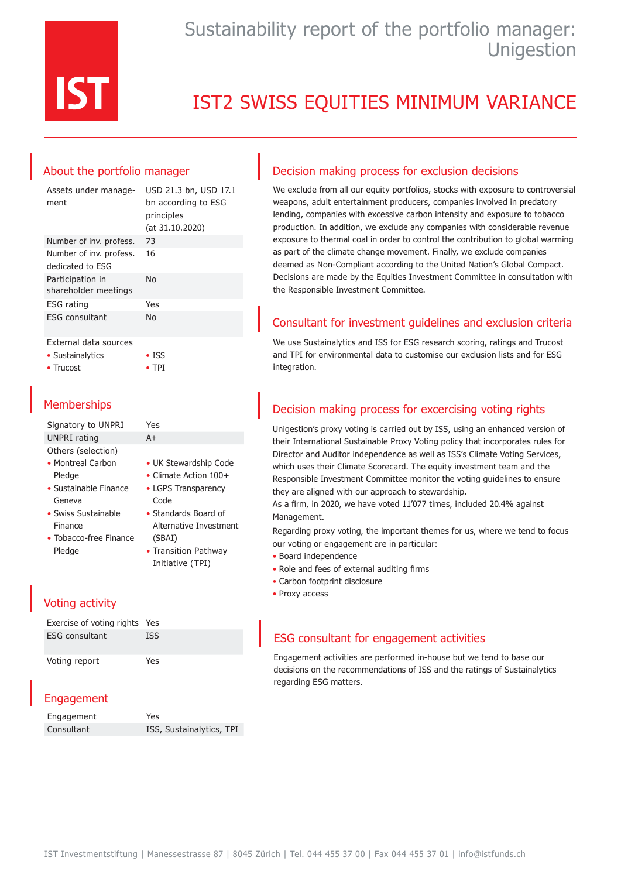

# Sustainability report of the portfolio manager: **Unigestion**

# IST2 SWISS EQUITIES MINIMUM VARIANCE

## About the portfolio manager

| Assets under manage-<br>ment                | USD 21.3 bn, USD 17.1<br>bn according to ESG<br>principles<br>(at 31.10.2020) |
|---------------------------------------------|-------------------------------------------------------------------------------|
| Number of inv. profess.                     | 73                                                                            |
| Number of inv. profess.<br>dedicated to ESG | 16                                                                            |
| Participation in<br>shareholder meetings    | No                                                                            |
| <b>ESG</b> rating                           | Yes                                                                           |
| <b>ESG</b> consultant                       | No                                                                            |
|                                             |                                                                               |

#### External data sources

• Sustainalytics

• Trucost

• TPI

• ISS

## **Memberships**

| Signatory to UNPRI             | Yes                           |
|--------------------------------|-------------------------------|
| UNPRI rating                   | $A+$                          |
| Others (selection)             |                               |
| • Montreal Carbon              | • UK Stewardship Code         |
| Pledge                         | $\bullet$ Climate Action 100+ |
| $\bullet$ Sustainable Finance  | • LGPS Transparency           |
| Geneva                         | Code                          |
| • Swiss Sustainable            | • Standards Board of          |
| Finance                        | Alternative Investment        |
| $\bullet$ Tobacco-free Finance | (SBAI)                        |
| Pledge                         | • Transition Pathway          |
|                                | Initiative (TPI)              |

## Voting activity

| Exercise of voting rights Yes |            |
|-------------------------------|------------|
| <b>ESG</b> consultant         | <b>ISS</b> |
| Voting report                 | Yes        |

## Engagement

| Engagement | Yes                      |
|------------|--------------------------|
| Consultant | ISS, Sustainalytics, TPI |

### Decision making process for exclusion decisions

We exclude from all our equity portfolios, stocks with exposure to controversial weapons, adult entertainment producers, companies involved in predatory lending, companies with excessive carbon intensity and exposure to tobacco production. In addition, we exclude any companies with considerable revenue exposure to thermal coal in order to control the contribution to global warming as part of the climate change movement. Finally, we exclude companies deemed as Non-Compliant according to the United Nation's Global Compact. Decisions are made by the Equities Investment Committee in consultation with the Responsible Investment Committee.

## Consultant for investment guidelines and exclusion criteria

We use Sustainalytics and ISS for ESG research scoring, ratings and Trucost and TPI for environmental data to customise our exclusion lists and for ESG integration.

## Decision making process for excercising voting rights

Unigestion's proxy voting is carried out by ISS, using an enhanced version of their International Sustainable Proxy Voting policy that incorporates rules for Director and Auditor independence as well as ISS's Climate Voting Services, which uses their Climate Scorecard. The equity investment team and the Responsible Investment Committee monitor the voting guidelines to ensure they are aligned with our approach to stewardship.

As a firm, in 2020, we have voted 11'077 times, included 20.4% against Management.

Regarding proxy voting, the important themes for us, where we tend to focus our voting or engagement are in particular:

- Board independence
- Role and fees of external auditing firms
- Carbon footprint disclosure
- Proxy access

### ESG consultant for engagement activities

Engagement activities are performed in-house but we tend to base our decisions on the recommendations of ISS and the ratings of Sustainalytics regarding ESG matters.